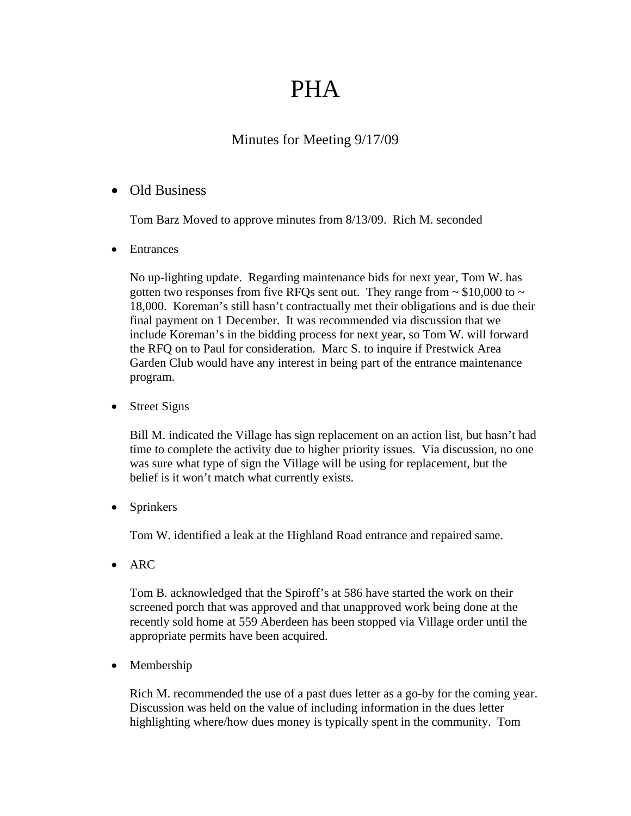## PHA

## Minutes for Meeting 9/17/09

## • Old Business

Tom Barz Moved to approve minutes from 8/13/09. Rich M. seconded

• Entrances

No up-lighting update. Regarding maintenance bids for next year, Tom W. has gotten two responses from five RFQs sent out. They range from  $\sim$  \$10,000 to  $\sim$ 18,000. Koreman's still hasn't contractually met their obligations and is due their final payment on 1 December. It was recommended via discussion that we include Koreman's in the bidding process for next year, so Tom W. will forward the RFQ on to Paul for consideration. Marc S. to inquire if Prestwick Area Garden Club would have any interest in being part of the entrance maintenance program.

• Street Signs

Bill M. indicated the Village has sign replacement on an action list, but hasn't had time to complete the activity due to higher priority issues. Via discussion, no one was sure what type of sign the Village will be using for replacement, but the belief is it won't match what currently exists.

• Sprinkers

Tom W. identified a leak at the Highland Road entrance and repaired same.

• ARC

Tom B. acknowledged that the Spiroff's at 586 have started the work on their screened porch that was approved and that unapproved work being done at the recently sold home at 559 Aberdeen has been stopped via Village order until the appropriate permits have been acquired.

• Membership

Rich M. recommended the use of a past dues letter as a go-by for the coming year. Discussion was held on the value of including information in the dues letter highlighting where/how dues money is typically spent in the community. Tom